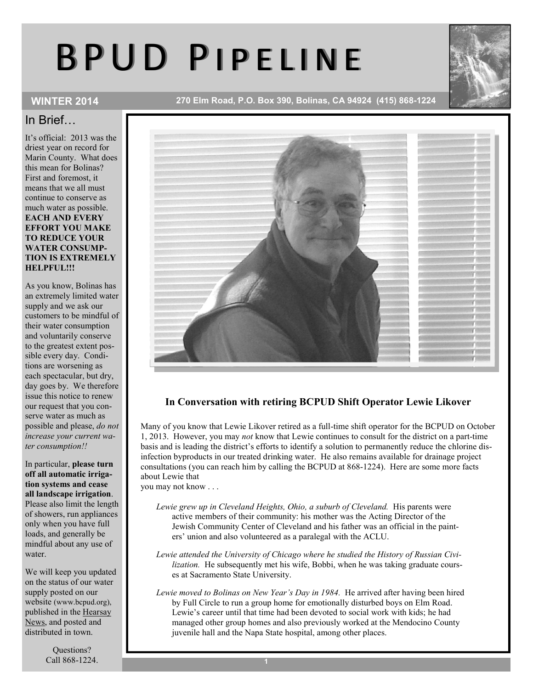# B P U D P I P E L I N E



WINTER 2014 270 Elm Road, P.O. Box 390, Bolinas, CA 94924 (415) 868-1224

# In Brief…

It's official: 2013 was the driest year on record for Marin County. What does this mean for Bolinas? First and foremost, it means that we all must continue to conserve as much water as possible. EACH AND EVERY EFFORT YOU MAKE TO REDUCE YOUR WATER CONSUMP-TION IS EXTREMELY HELPFUL!!!

As you know, Bolinas has an extremely limited water supply and we ask our customers to be mindful of their water consumption and voluntarily conserve to the greatest extent possible every day. Conditions are worsening as each spectacular, but dry, day goes by. We therefore issue this notice to renew our request that you conserve water as much as possible and please, *do not increase your current water consumption!!* 

### In particular, please turn off all automatic irrigation systems and cease all landscape irrigation. Please also limit the length of showers, run appliances only when you have full loads, and generally be mindful about any use of water.

We will keep you updated on the status of our water supply posted on our website (www.bcpud.org), published in the Hearsay News, and posted and distributed in town.

> Questions? Call 868-1224.



# In Conversation with retiring BCPUD Shift Operator Lewie Likover

Many of you know that Lewie Likover retired as a full-time shift operator for the BCPUD on October 1, 2013. However, you may *not* know that Lewie continues to consult for the district on a part-time basis and is leading the district's efforts to identify a solution to permanently reduce the chlorine disinfection byproducts in our treated drinking water. He also remains available for drainage project consultations (you can reach him by calling the BCPUD at 868-1224). Here are some more facts about Lewie that

you may not know . . .

- *Lewie grew up in Cleveland Heights, Ohio, a suburb of Cleveland.* His parents were active members of their community: his mother was the Acting Director of the Jewish Community Center of Cleveland and his father was an official in the painters' union and also volunteered as a paralegal with the ACLU.
- *Lewie attended the University of Chicago where he studied the History of Russian Civilization.* He subsequently met his wife, Bobbi, when he was taking graduate courses at Sacramento State University.
- *Lewie moved to Bolinas on New Year's Day in 1984.* He arrived after having been hired by Full Circle to run a group home for emotionally disturbed boys on Elm Road. Lewie's career until that time had been devoted to social work with kids; he had managed other group homes and also previously worked at the Mendocino County juvenile hall and the Napa State hospital, among other places.